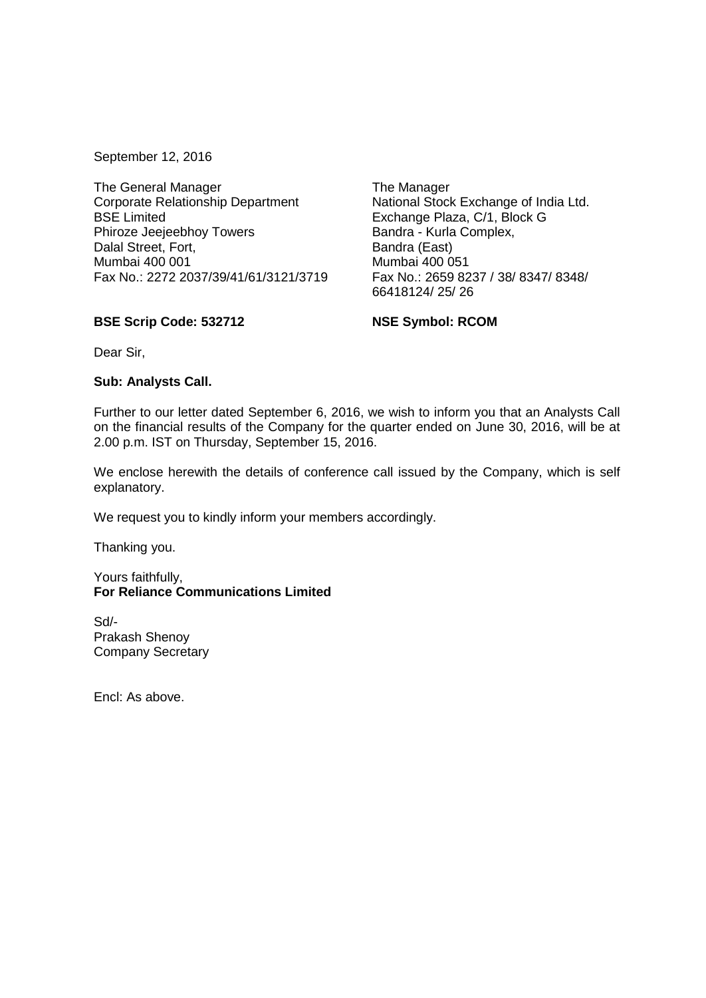September 12, 2016

The General Manager Corporate Relationship Department BSE Limited Phiroze Jeejeebhoy Towers Dalal Street, Fort, Mumbai 400 001 Fax No.: 2272 2037/39/41/61/3121/3719

The Manager National Stock Exchange of India Ltd. Exchange Plaza, C/1, Block G Bandra - Kurla Complex, Bandra (East) Mumbai 400 051 Fax No.: 2659 8237 / 38/ 8347/ 8348/ 66418124/ 25/ 26

## **BSE Scrip Code: 532712**

**NSE Symbol: RCOM**

Dear Sir,

## **Sub: Analysts Call.**

Further to our letter dated September 6, 2016, we wish to inform you that an Analysts Call on the financial results of the Company for the quarter ended on June 30, 2016, will be at 2.00 p.m. IST on Thursday, September 15, 2016.

We enclose herewith the details of conference call issued by the Company, which is self explanatory.

We request you to kindly inform your members accordingly.

Thanking you.

Yours faithfully, **For Reliance Communications Limited**

Sd/- Prakash Shenoy Company Secretary

Encl: As above.